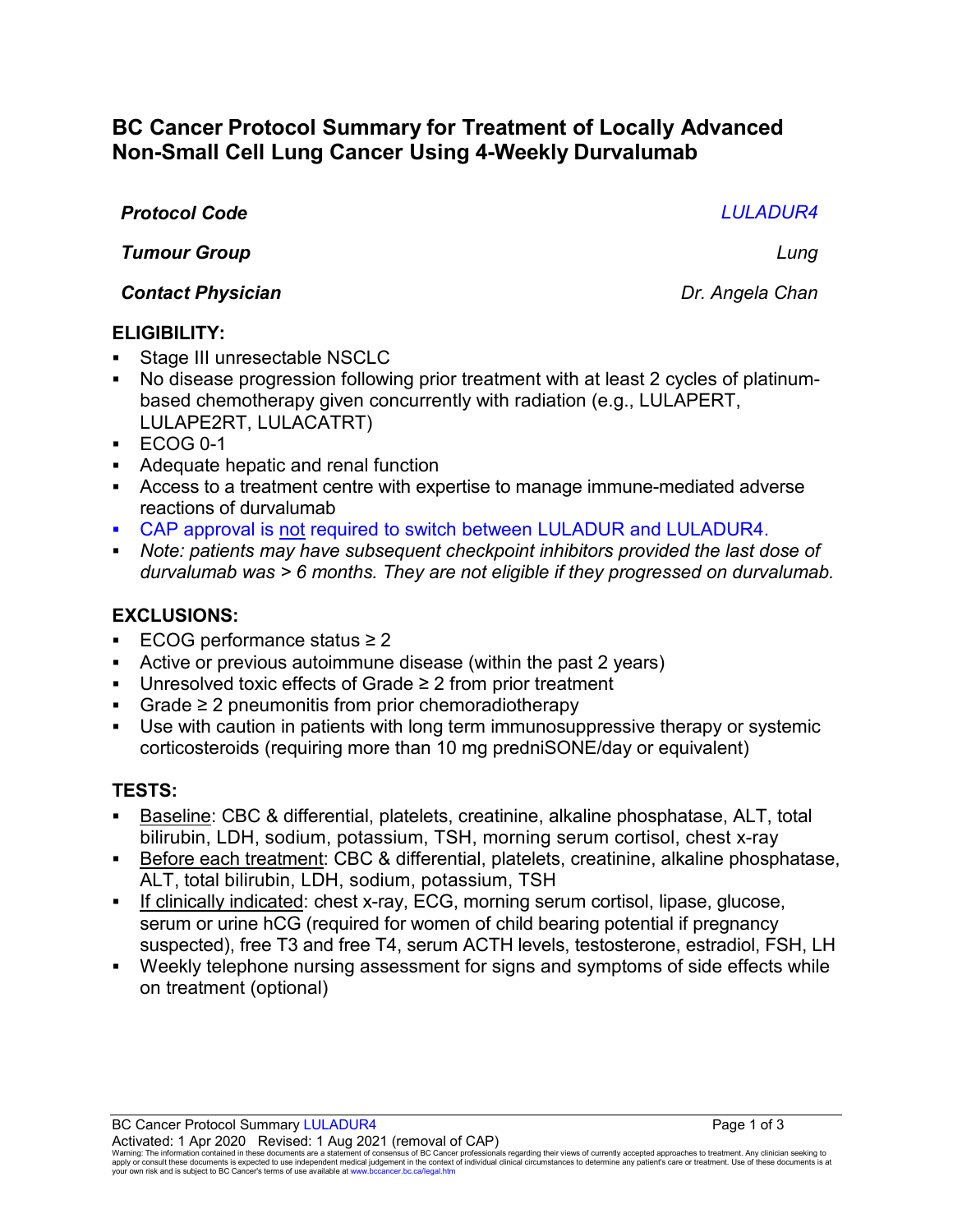# **BC Cancer Protocol Summary for Treatment of Locally Advanced Non-Small Cell Lung Cancer Using 4-Weekly Durvalumab**

#### *Protocol Code LULADUR4*

*Tumour Group Lung*

*Contact Physician Dr. Angela Chan*

#### **ELIGIBILITY:**

- Stage III unresectable NSCLC
- No disease progression following prior treatment with at least 2 cycles of platinumbased chemotherapy given concurrently with radiation (e.g., LULAPERT, LULAPE2RT, LULACATRT)
- $\textdegree$  ECOG 0-1
- Adequate hepatic and renal function
- Access to a treatment centre with expertise to manage immune-mediated adverse reactions of durvalumab
- CAP approval is not required to switch between LULADUR and LULADUR4.
- *Note: patients may have subsequent checkpoint inhibitors provided the last dose of durvalumab was > 6 months. They are not eligible if they progressed on durvalumab.*

# **EXCLUSIONS:**

- ECOG performance status ≥ 2
- Active or previous autoimmune disease (within the past 2 years)
- Unresolved toxic effects of Grade ≥ 2 from prior treatment
- Grade ≥ 2 pneumonitis from prior chemoradiotherapy
- Use with caution in patients with long term immunosuppressive therapy or systemic corticosteroids (requiring more than 10 mg predniSONE/day or equivalent)

# **TESTS:**

- Baseline: CBC & differential, platelets, creatinine, alkaline phosphatase, ALT, total bilirubin, LDH, sodium, potassium, TSH, morning serum cortisol, chest x-ray
- Before each treatment: CBC & differential, platelets, creatinine, alkaline phosphatase, ALT, total bilirubin, LDH, sodium, potassium, TSH
- If clinically indicated: chest x-ray, ECG, morning serum cortisol, lipase, glucose, serum or urine hCG (required for women of child bearing potential if pregnancy suspected), free T3 and free T4, serum ACTH levels, testosterone, estradiol, FSH, LH
- Weekly telephone nursing assessment for signs and symptoms of side effects while on treatment (optional)

BC Cancer Protocol Summary LULADUR4 **Page 1 of 3** Page 1 of 3 Activated: 1 Apr 2020 Revised: 1 Aug 2021 (removal of CAP)

Warning: The information contained in these documents are a statement of consensus of BC Cancer professionals regarding their views of currently accepted approaches to treatment. Any clinician seeking to<br>apply or consult t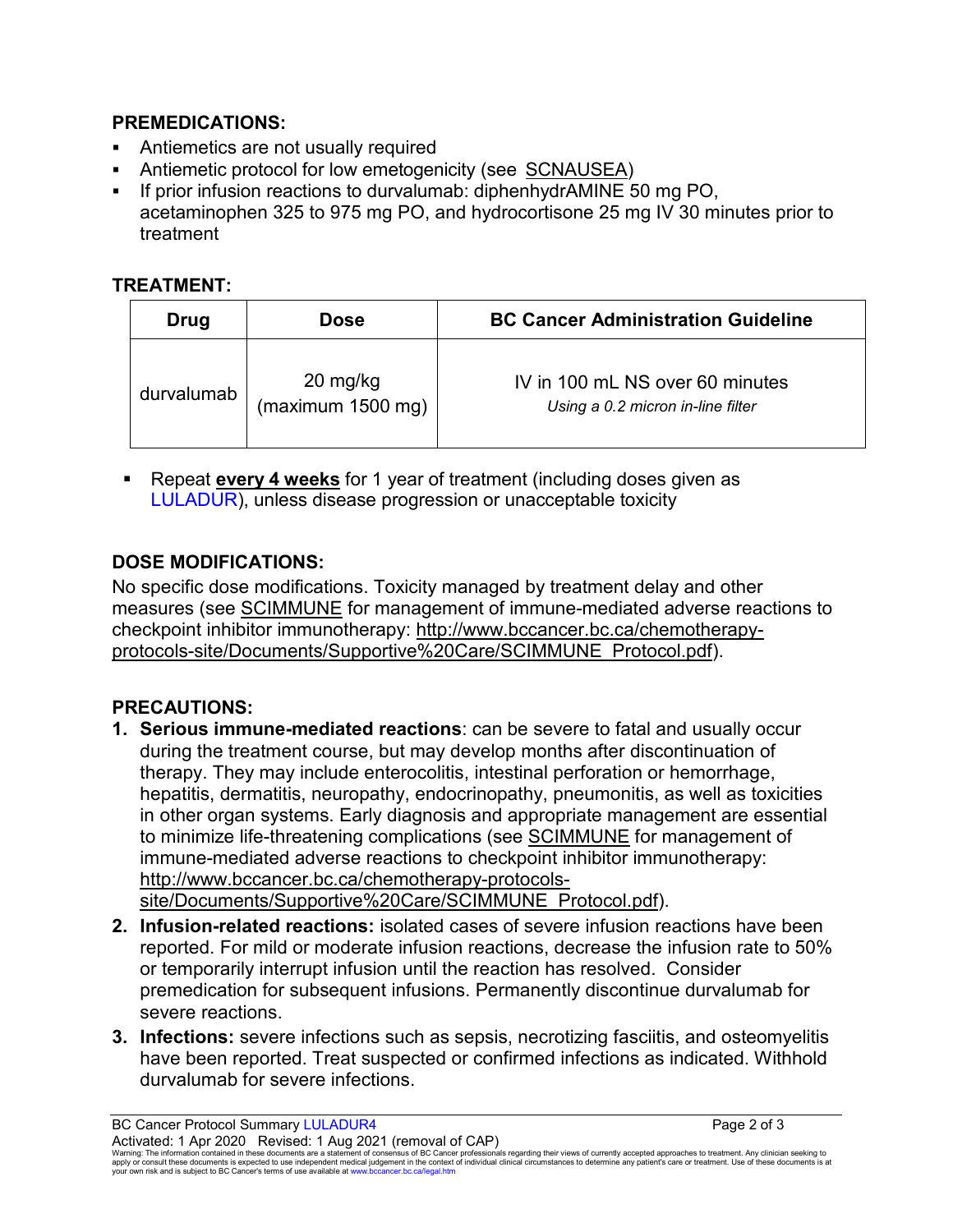#### **PREMEDICATIONS:**

- Antiemetics are not usually required
- Antiemetic protocol for low emetogenicity (see [SCNAUSEA\)](http://www.bccancer.bc.ca/chemotherapy-protocols-site/Documents/Supportive%20Care/SCNAUSEA_Protocol.pdf)
- If prior infusion reactions to durvalumab: diphenhydrAMINE 50 mg PO, acetaminophen 325 to 975 mg PO, and hydrocortisone 25 mg IV 30 minutes prior to treatment

### **TREATMENT:**

| Drug       | <b>Dose</b>                                           | <b>BC Cancer Administration Guideline</b>                            |
|------------|-------------------------------------------------------|----------------------------------------------------------------------|
| durvalumab | $20 \frac{\text{mg}}{\text{kg}}$<br>(maximum 1500 mg) | IV in 100 mL NS over 60 minutes<br>Using a 0.2 micron in-line filter |

 Repeat **every 4 weeks** for 1 year of treatment (including doses given as LULADUR), unless disease progression or unacceptable toxicity

# **DOSE MODIFICATIONS:**

No specific dose modifications. Toxicity managed by treatment delay and other measures (see [SCIMMUNE](http://www.bccancer.bc.ca/chemotherapy-protocols-site/Documents/Supportive%20Care/SCIMMUNE_Protocol.pdf) for management of immune-mediated adverse reactions to checkpoint inhibitor immunotherapy: [http://www.bccancer.bc.ca/chemotherapy](http://www.bccancer.bc.ca/chemotherapy-protocols-site/Documents/Supportive%20Care/SCIMMUNE_Protocol.pdf)[protocols-site/Documents/Supportive%20Care/SCIMMUNE\\_Protocol.pdf\)](http://www.bccancer.bc.ca/chemotherapy-protocols-site/Documents/Supportive%20Care/SCIMMUNE_Protocol.pdf).

# **PRECAUTIONS:**

- **1. Serious immune-mediated reactions**: can be severe to fatal and usually occur during the treatment course, but may develop months after discontinuation of therapy. They may include enterocolitis, intestinal perforation or hemorrhage, hepatitis, dermatitis, neuropathy, endocrinopathy, pneumonitis, as well as toxicities in other organ systems. Early diagnosis and appropriate management are essential to minimize life-threatening complications (see [SCIMMUNE](http://www.bccancer.bc.ca/chemotherapy-protocols-site/Documents/Supportive%20Care/SCIMMUNE_Protocol.pdf) for management of immune-mediated adverse reactions to checkpoint inhibitor immunotherapy: [http://www.bccancer.bc.ca/chemotherapy-protocols](http://www.bccancer.bc.ca/chemotherapy-protocols-site/Documents/Supportive%20Care/SCIMMUNE_Protocol.pdf)[site/Documents/Supportive%20Care/SCIMMUNE\\_Protocol.pdf\)](http://www.bccancer.bc.ca/chemotherapy-protocols-site/Documents/Supportive%20Care/SCIMMUNE_Protocol.pdf).
- **2. Infusion-related reactions:** isolated cases of severe infusion reactions have been reported. For mild or moderate infusion reactions, decrease the infusion rate to 50% or temporarily interrupt infusion until the reaction has resolved. Consider premedication for subsequent infusions. Permanently discontinue durvalumab for severe reactions.
- **3. Infections:** severe infections such as sepsis, necrotizing fasciitis, and osteomyelitis have been reported. Treat suspected or confirmed infections as indicated. Withhold durvalumab for severe infections.

BC Cancer Protocol Summary LULADUR4 **Page 2 of 3** Page 2 of 3 Activated: 1 Apr 2020 Revised: 1 Aug 2021 (removal of CAP)

Warning: The information contained in these documents are a statement of consensus of BC Cancer professionals regarding their views of currently accepted approaches to treatment. Any clinician seeking to<br>apply or consult t